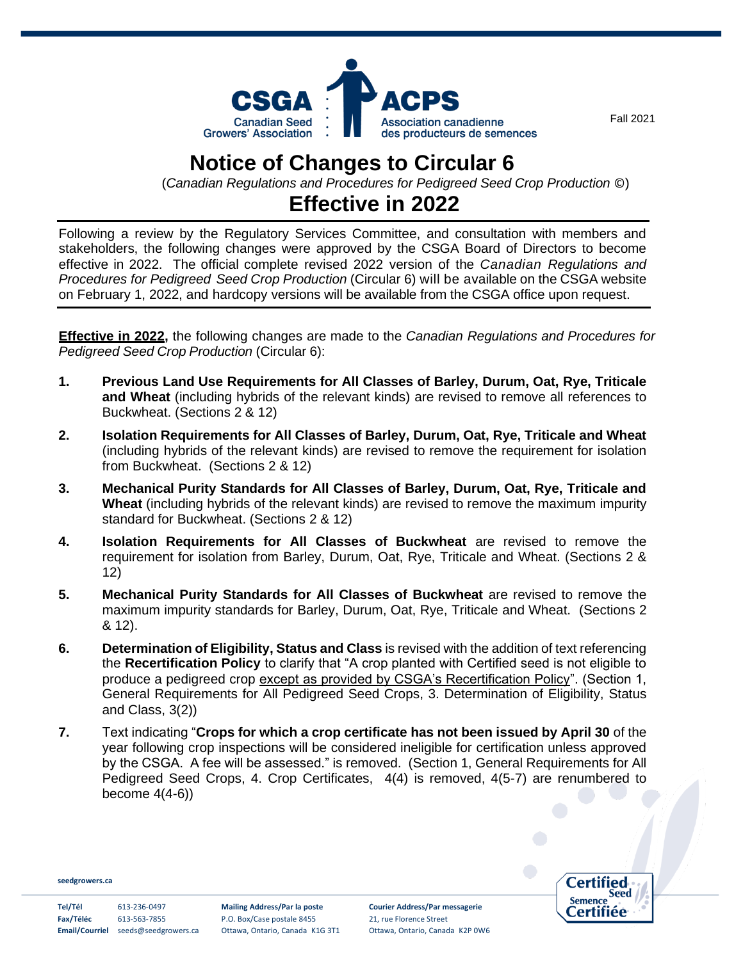

## **Notice of Changes to Circular 6**

(*Canadian Regulations and Procedures for Pedigreed Seed Crop Production* ©)

## **Effective in 2022**

Following a review by the Regulatory Services Committee, and consultation with members and stakeholders, the following changes were approved by the CSGA Board of Directors to become effective in 2022. The official complete revised 2022 version of the *Canadian Regulations and Procedures for Pedigreed Seed Crop Production* (Circular 6) will be available on the CSGA website on February 1, 2022, and hardcopy versions will be available from the CSGA office upon request.

**Effective in 2022,** the following changes are made to the *Canadian Regulations and Procedures for Pedigreed Seed Crop Production* (Circular 6):

- **1. Previous Land Use Requirements for All Classes of Barley, Durum, Oat, Rye, Triticale and Wheat** (including hybrids of the relevant kinds) are revised to remove all references to Buckwheat. (Sections 2 & 12)
- **2. Isolation Requirements for All Classes of Barley, Durum, Oat, Rye, Triticale and Wheat**  (including hybrids of the relevant kinds) are revised to remove the requirement for isolation from Buckwheat. (Sections 2 & 12)
- **3. Mechanical Purity Standards for All Classes of Barley, Durum, Oat, Rye, Triticale and Wheat** (including hybrids of the relevant kinds) are revised to remove the maximum impurity standard for Buckwheat. (Sections 2 & 12)
- **4. Isolation Requirements for All Classes of Buckwheat** are revised to remove the requirement for isolation from Barley, Durum, Oat, Rye, Triticale and Wheat. (Sections 2 & 12)
- **5. Mechanical Purity Standards for All Classes of Buckwheat** are revised to remove the maximum impurity standards for Barley, Durum, Oat, Rye, Triticale and Wheat. (Sections 2 & 12).
- **6. Determination of Eligibility, Status and Class** is revised with the addition of text referencing the **Recertification Policy** to clarify that "A crop planted with Certified seed is not eligible to produce a pedigreed crop except as provided by CSGA's Recertification Policy". (Section 1, General Requirements for All Pedigreed Seed Crops, 3. Determination of Eligibility, Status and Class, 3(2))
- **7.** Text indicating "**Crops for which a crop certificate has not been issued by April 30** of the year following crop inspections will be considered ineligible for certification unless approved by the CSGA. A fee will be assessed." is removed. (Section 1, General Requirements for All Pedigreed Seed Crops, 4. Crop Certificates, 4(4) is removed, 4(5-7) are renumbered to become 4(4-6))

**[seedgrowers.ca](http://www.seedgrowers.ca/)**

**Fax/Téléc** 613-563-7855 P.O. Box/Case postale 8455 21, rue Florence Street

**Tel/Tél** 613-236-0497 **Mailing Address/Par la poste Courier Address/Par messagerie Email/Courriel** seeds@seedgrowers.ca Ottawa, Ontario, Canada K1G 3T1 Ottawa, Ontario, Canada K2P 0W6 Certified Seed **Semence** Certifiée

Fall 2021